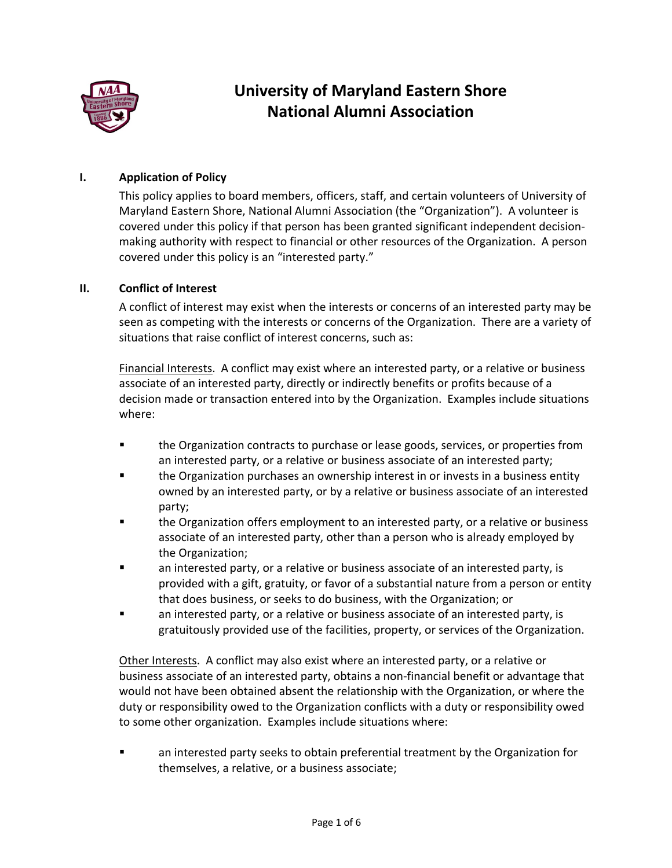

# **University of Maryland Eastern Shore National Alumni Association**

### **I. Application of Policy**

This policy applies to board members, officers, staff, and certain volunteers of University of Maryland Eastern Shore, National Alumni Association (the "Organization"). A volunteer is covered under this policy if that person has been granted significant independent decisionmaking authority with respect to financial or other resources of the Organization. A person covered under this policy is an "interested party."

#### **II. Conflict of Interest**

A conflict of interest may exist when the interests or concerns of an interested party may be seen as competing with the interests or concerns of the Organization. There are a variety of situations that raise conflict of interest concerns, such as:

Financial Interests. A conflict may exist where an interested party, or a relative or business associate of an interested party, directly or indirectly benefits or profits because of a decision made or transaction entered into by the Organization. Examples include situations where:

- **■** the Organization contracts to purchase or lease goods, services, or properties from an interested party, or a relative or business associate of an interested party;
- **■** the Organization purchases an ownership interest in or invests in a business entity owned by an interested party, or by a relative or business associate of an interested party;
- **■** the Organization offers employment to an interested party, or a relative or business associate of an interested party, other than a person who is already employed by the Organization;
- an interested party, or a relative or business associate of an interested party, is provided with a gift, gratuity, or favor of a substantial nature from a person or entity that does business, or seeks to do business, with the Organization; or
- an interested party, or a relative or business associate of an interested party, is gratuitously provided use of the facilities, property, or services of the Organization.

Other Interests. A conflict may also exist where an interested party, or a relative or business associate of an interested party, obtains a non-financial benefit or advantage that would not have been obtained absent the relationship with the Organization, or where the duty or responsibility owed to the Organization conflicts with a duty or responsibility owed to some other organization. Examples include situations where:

an interested party seeks to obtain preferential treatment by the Organization for themselves, a relative, or a business associate;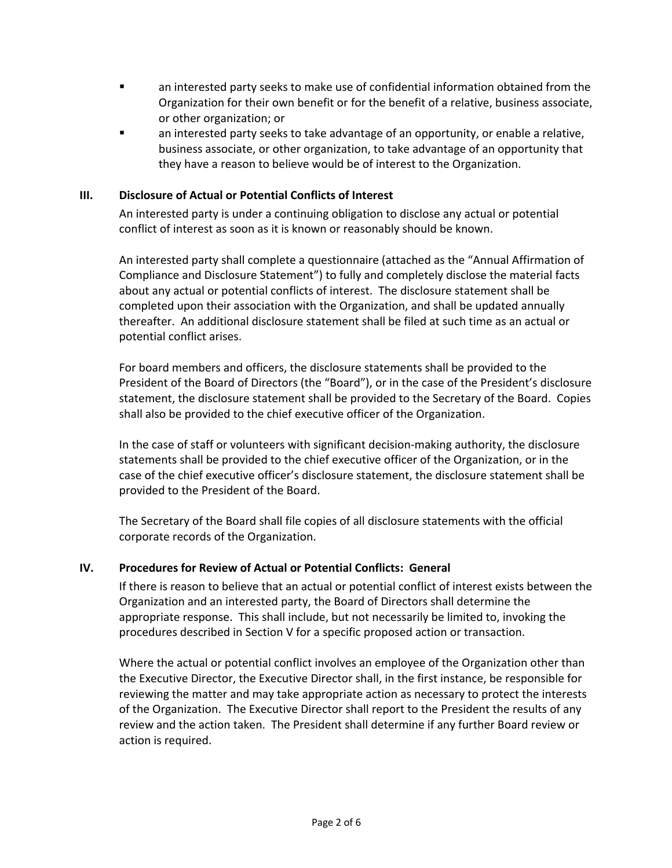- an interested party seeks to make use of confidential information obtained from the Organization for their own benefit or for the benefit of a relative, business associate, or other organization; or
- an interested party seeks to take advantage of an opportunity, or enable a relative, business associate, or other organization, to take advantage of an opportunity that they have a reason to believe would be of interest to the Organization.

### **III. Disclosure of Actual or Potential Conflicts of Interest**

An interested party is under a continuing obligation to disclose any actual or potential conflict of interest as soon as it is known or reasonably should be known.

An interested party shall complete a questionnaire (attached as the "Annual Affirmation of Compliance and Disclosure Statement") to fully and completely disclose the material facts about any actual or potential conflicts of interest. The disclosure statement shall be completed upon their association with the Organization, and shall be updated annually thereafter. An additional disclosure statement shall be filed at such time as an actual or potential conflict arises.

For board members and officers, the disclosure statements shall be provided to the President of the Board of Directors (the "Board"), or in the case of the President's disclosure statement, the disclosure statement shall be provided to the Secretary of the Board. Copies shall also be provided to the chief executive officer of the Organization.

In the case of staff or volunteers with significant decision-making authority, the disclosure statements shall be provided to the chief executive officer of the Organization, or in the case of the chief executive officer's disclosure statement, the disclosure statement shall be provided to the President of the Board.

The Secretary of the Board shall file copies of all disclosure statements with the official corporate records of the Organization.

#### **IV. Procedures for Review of Actual or Potential Conflicts: General**

If there is reason to believe that an actual or potential conflict of interest exists between the Organization and an interested party, the Board of Directors shall determine the appropriate response. This shall include, but not necessarily be limited to, invoking the procedures described in Section V for a specific proposed action or transaction.

Where the actual or potential conflict involves an employee of the Organization other than the Executive Director, the Executive Director shall, in the first instance, be responsible for reviewing the matter and may take appropriate action as necessary to protect the interests of the Organization. The Executive Director shall report to the President the results of any review and the action taken. The President shall determine if any further Board review or action is required.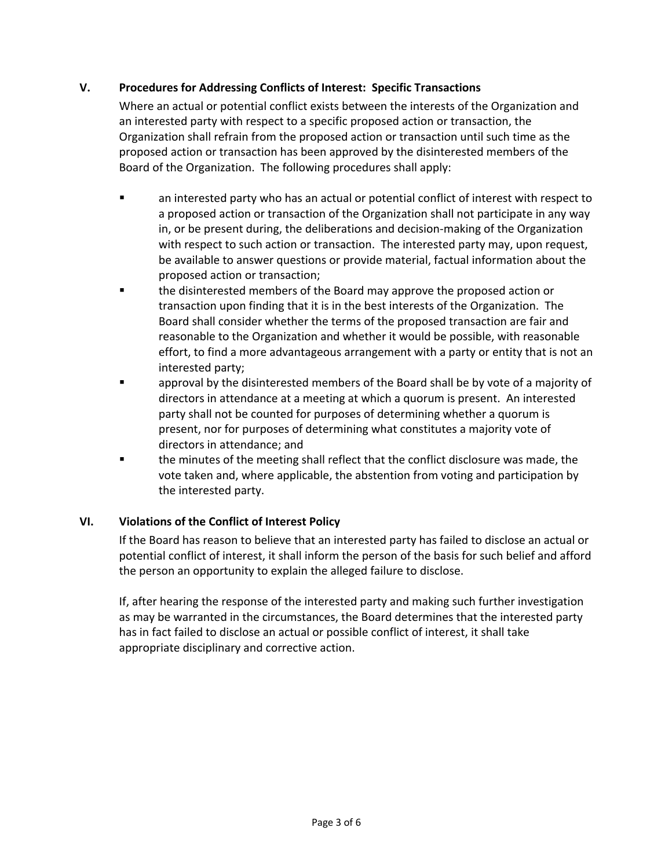### **V. Procedures for Addressing Conflicts of Interest: Specific Transactions**

Where an actual or potential conflict exists between the interests of the Organization and an interested party with respect to a specific proposed action or transaction, the Organization shall refrain from the proposed action or transaction until such time as the proposed action or transaction has been approved by the disinterested members of the Board of the Organization. The following procedures shall apply:

- an interested party who has an actual or potential conflict of interest with respect to a proposed action or transaction of the Organization shall not participate in any way in, or be present during, the deliberations and decision-making of the Organization with respect to such action or transaction. The interested party may, upon request, be available to answer questions or provide material, factual information about the proposed action or transaction;
- the disinterested members of the Board may approve the proposed action or transaction upon finding that it is in the best interests of the Organization. The Board shall consider whether the terms of the proposed transaction are fair and reasonable to the Organization and whether it would be possible, with reasonable effort, to find a more advantageous arrangement with a party or entity that is not an interested party;
- § approval by the disinterested members of the Board shall be by vote of a majority of directors in attendance at a meeting at which a quorum is present. An interested party shall not be counted for purposes of determining whether a quorum is present, nor for purposes of determining what constitutes a majority vote of directors in attendance; and
- **•** the minutes of the meeting shall reflect that the conflict disclosure was made, the vote taken and, where applicable, the abstention from voting and participation by the interested party.

## **VI. Violations of the Conflict of Interest Policy**

If the Board has reason to believe that an interested party has failed to disclose an actual or potential conflict of interest, it shall inform the person of the basis for such belief and afford the person an opportunity to explain the alleged failure to disclose.

If, after hearing the response of the interested party and making such further investigation as may be warranted in the circumstances, the Board determines that the interested party has in fact failed to disclose an actual or possible conflict of interest, it shall take appropriate disciplinary and corrective action.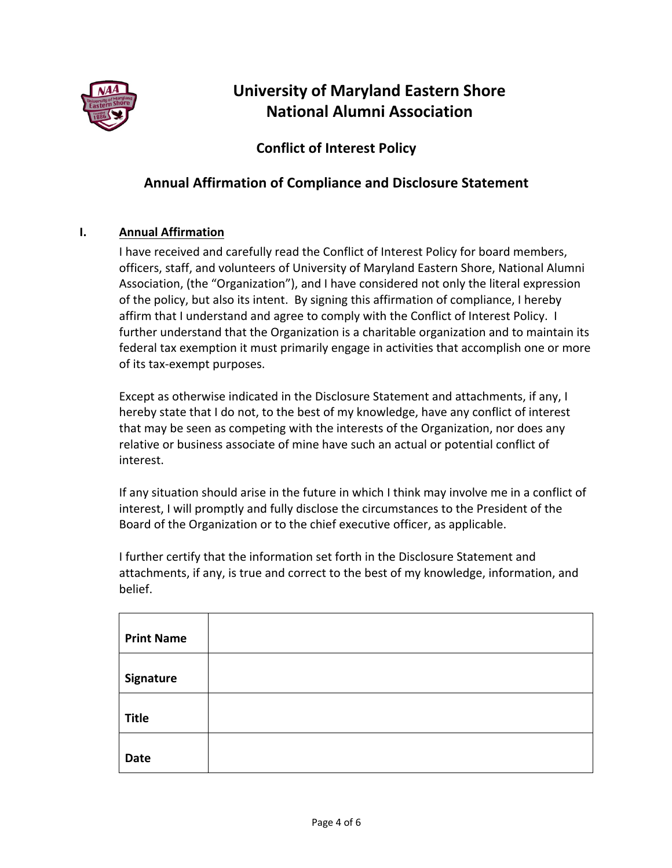

# **University of Maryland Eastern Shore National Alumni Association**

# **Conflict of Interest Policy**

# **Annual Affirmation of Compliance and Disclosure Statement**

## **I. Annual Affirmation**

I have received and carefully read the Conflict of Interest Policy for board members, officers, staff, and volunteers of University of Maryland Eastern Shore, National Alumni Association, (the "Organization"), and I have considered not only the literal expression of the policy, but also its intent. By signing this affirmation of compliance, I hereby affirm that I understand and agree to comply with the Conflict of Interest Policy. I further understand that the Organization is a charitable organization and to maintain its federal tax exemption it must primarily engage in activities that accomplish one or more of its tax-exempt purposes.

Except as otherwise indicated in the Disclosure Statement and attachments, if any, I hereby state that I do not, to the best of my knowledge, have any conflict of interest that may be seen as competing with the interests of the Organization, nor does any relative or business associate of mine have such an actual or potential conflict of interest.

If any situation should arise in the future in which I think may involve me in a conflict of interest, I will promptly and fully disclose the circumstances to the President of the Board of the Organization or to the chief executive officer, as applicable.

I further certify that the information set forth in the Disclosure Statement and attachments, if any, is true and correct to the best of my knowledge, information, and belief.

| <b>Print Name</b> |  |
|-------------------|--|
| Signature         |  |
| <b>Title</b>      |  |
| <b>Date</b>       |  |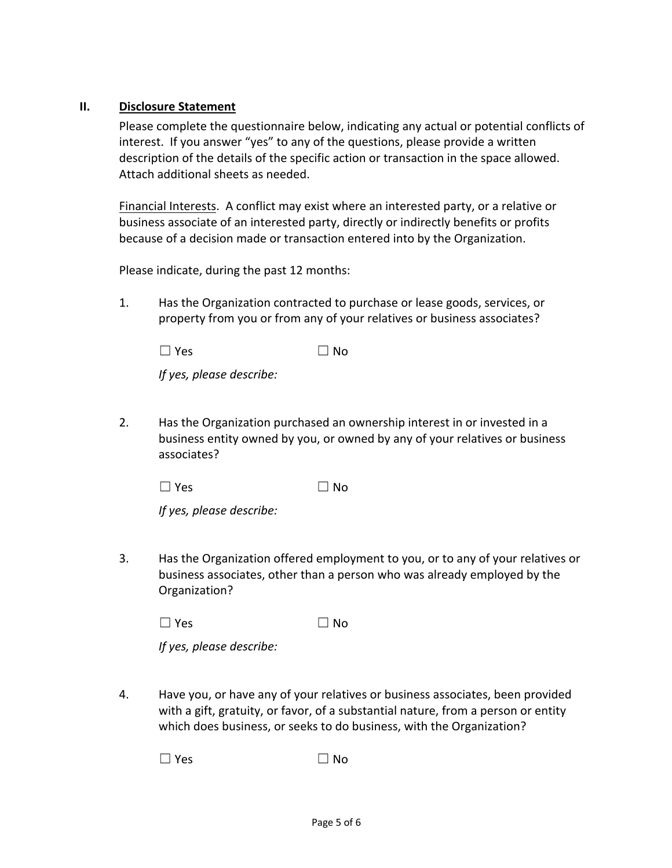### **II. Disclosure Statement**

Please complete the questionnaire below, indicating any actual or potential conflicts of interest. If you answer "yes" to any of the questions, please provide a written description of the details of the specific action or transaction in the space allowed. Attach additional sheets as needed.

Financial Interests. A conflict may exist where an interested party, or a relative or business associate of an interested party, directly or indirectly benefits or profits because of a decision made or transaction entered into by the Organization.

Please indicate, during the past 12 months:

1. Has the Organization contracted to purchase or lease goods, services, or property from you or from any of your relatives or business associates?

| $\Box$ No |
|-----------|
|           |

*If yes, please describe:*

2. Has the Organization purchased an ownership interest in or invested in a business entity owned by you, or owned by any of your relatives or business associates?

 $\Box$  Yes  $\Box$  No

*If yes, please describe:*

3. Has the Organization offered employment to you, or to any of your relatives or business associates, other than a person who was already employed by the Organization?

 $\Box$  Yes  $\Box$  No

*If yes, please describe:*

4. Have you, or have any of your relatives or business associates, been provided with a gift, gratuity, or favor, of a substantial nature, from a person or entity which does business, or seeks to do business, with the Organization?

 $\Box$  Yes  $\Box$  No